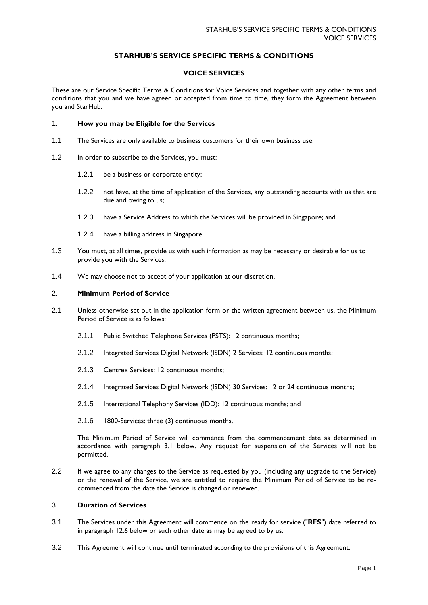# **STARHUB'S SERVICE SPECIFIC TERMS & CONDITIONS**

### **VOICE SERVICES**

These are our Service Specific Terms & Conditions for Voice Services and together with any other terms and conditions that you and we have agreed or accepted from time to time, they form the Agreement between you and StarHub.

### 1. **How you may be Eligible for the Services**

- 1.1 The Services are only available to business customers for their own business use.
- 1.2 In order to subscribe to the Services, you must:
	- 1.2.1 be a business or corporate entity;
	- 1.2.2 not have, at the time of application of the Services, any outstanding accounts with us that are due and owing to us;
	- 1.2.3 have a Service Address to which the Services will be provided in Singapore; and
	- 1.2.4 have a billing address in Singapore.
- 1.3 You must, at all times, provide us with such information as may be necessary or desirable for us to provide you with the Services.
- 1.4 We may choose not to accept of your application at our discretion.

### 2. **Minimum Period of Service**

- 2.1 Unless otherwise set out in the application form or the written agreement between us, the Minimum Period of Service is as follows:
	- 2.1.1 Public Switched Telephone Services (PSTS): 12 continuous months;
	- 2.1.2 Integrated Services Digital Network (ISDN) 2 Services: 12 continuous months;
	- 2.1.3 Centrex Services: 12 continuous months;
	- 2.1.4 Integrated Services Digital Network (ISDN) 30 Services: 12 or 24 continuous months;
	- 2.1.5 International Telephony Services (IDD): 12 continuous months; and
	- 2.1.6 1800-Services: three (3) continuous months.

The Minimum Period of Service will commence from the commencement date as determined in accordance with paragraph 3.1 below. Any request for suspension of the Services will not be permitted.

2.2 If we agree to any changes to the Service as requested by you (including any upgrade to the Service) or the renewal of the Service, we are entitled to require the Minimum Period of Service to be recommenced from the date the Service is changed or renewed.

### 3. **Duration of Services**

- 3.1 The Services under this Agreement will commence on the ready for service ("**RFS**") date referred to in paragraph 12.6 below or such other date as may be agreed to by us.
- 3.2 This Agreement will continue until terminated according to the provisions of this Agreement.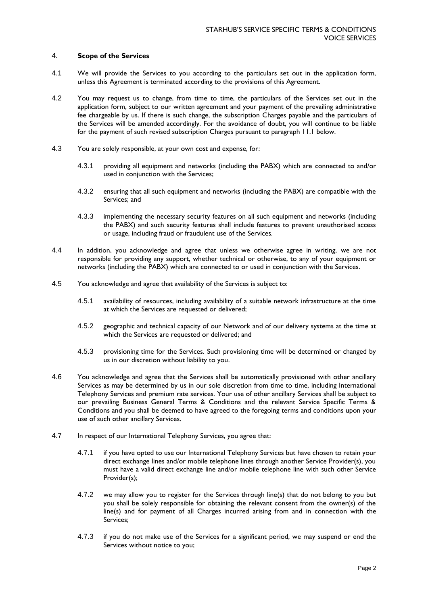### 4. **Scope of the Services**

- 4.1 We will provide the Services to you according to the particulars set out in the application form, unless this Agreement is terminated according to the provisions of this Agreement.
- 4.2 You may request us to change, from time to time, the particulars of the Services set out in the application form, subject to our written agreement and your payment of the prevailing administrative fee chargeable by us. If there is such change, the subscription Charges payable and the particulars of the Services will be amended accordingly. For the avoidance of doubt, you will continue to be liable for the payment of such revised subscription Charges pursuant to paragraph 11.1 below.
- 4.3 You are solely responsible, at your own cost and expense, for:
	- 4.3.1 providing all equipment and networks (including the PABX) which are connected to and/or used in conjunction with the Services;
	- 4.3.2 ensuring that all such equipment and networks (including the PABX) are compatible with the Services; and
	- 4.3.3 implementing the necessary security features on all such equipment and networks (including the PABX) and such security features shall include features to prevent unauthorised access or usage, including fraud or fraudulent use of the Services.
- 4.4 In addition, you acknowledge and agree that unless we otherwise agree in writing, we are not responsible for providing any support, whether technical or otherwise, to any of your equipment or networks (including the PABX) which are connected to or used in conjunction with the Services.
- 4.5 You acknowledge and agree that availability of the Services is subject to:
	- 4.5.1 availability of resources, including availability of a suitable network infrastructure at the time at which the Services are requested or delivered;
	- 4.5.2 geographic and technical capacity of our Network and of our delivery systems at the time at which the Services are requested or delivered; and
	- 4.5.3 provisioning time for the Services. Such provisioning time will be determined or changed by us in our discretion without liability to you.
- 4.6 You acknowledge and agree that the Services shall be automatically provisioned with other ancillary Services as may be determined by us in our sole discretion from time to time, including International Telephony Services and premium rate services. Your use of other ancillary Services shall be subject to our prevailing Business General Terms & Conditions and the relevant Service Specific Terms & Conditions and you shall be deemed to have agreed to the foregoing terms and conditions upon your use of such other ancillary Services.
- 4.7 In respect of our International Telephony Services, you agree that:
	- 4.7.1 if you have opted to use our International Telephony Services but have chosen to retain your direct exchange lines and/or mobile telephone lines through another Service Provider(s), you must have a valid direct exchange line and/or mobile telephone line with such other Service Provider(s);
	- 4.7.2 we may allow you to register for the Services through line(s) that do not belong to you but you shall be solely responsible for obtaining the relevant consent from the owner(s) of the line(s) and for payment of all Charges incurred arising from and in connection with the Services;
	- 4.7.3 if you do not make use of the Services for a significant period, we may suspend or end the Services without notice to you;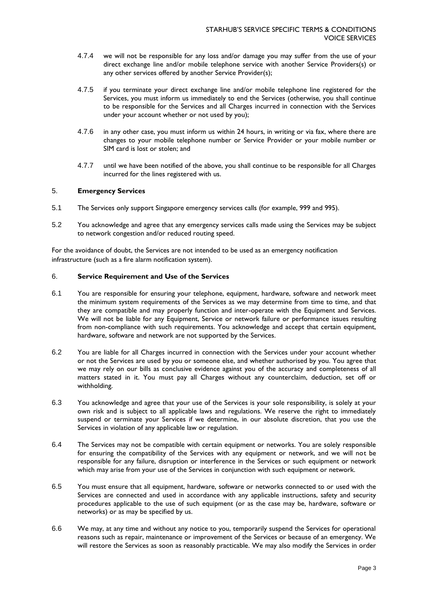- 4.7.4 we will not be responsible for any loss and/or damage you may suffer from the use of your direct exchange line and/or mobile telephone service with another Service Providers(s) or any other services offered by another Service Provider(s);
- 4.7.5 if you terminate your direct exchange line and/or mobile telephone line registered for the Services, you must inform us immediately to end the Services (otherwise, you shall continue to be responsible for the Services and all Charges incurred in connection with the Services under your account whether or not used by you);
- 4.7.6 in any other case, you must inform us within 24 hours, in writing or via fax, where there are changes to your mobile telephone number or Service Provider or your mobile number or SIM card is lost or stolen; and
- 4.7.7 until we have been notified of the above, you shall continue to be responsible for all Charges incurred for the lines registered with us.

## 5. **Emergency Services**

- 5.1 The Services only support Singapore emergency services calls (for example, 999 and 995).
- 5.2 You acknowledge and agree that any emergency services calls made using the Services may be subject to network congestion and/or reduced routing speed.

For the avoidance of doubt, the Services are not intended to be used as an emergency notification infrastructure (such as a fire alarm notification system).

### 6. **Service Requirement and Use of the Services**

- 6.1 You are responsible for ensuring your telephone, equipment, hardware, software and network meet the minimum system requirements of the Services as we may determine from time to time, and that they are compatible and may properly function and inter-operate with the Equipment and Services. We will not be liable for any Equipment, Service or network failure or performance issues resulting from non-compliance with such requirements. You acknowledge and accept that certain equipment, hardware, software and network are not supported by the Services.
- 6.2 You are liable for all Charges incurred in connection with the Services under your account whether or not the Services are used by you or someone else, and whether authorised by you. You agree that we may rely on our bills as conclusive evidence against you of the accuracy and completeness of all matters stated in it. You must pay all Charges without any counterclaim, deduction, set off or withholding.
- 6.3 You acknowledge and agree that your use of the Services is your sole responsibility, is solely at your own risk and is subject to all applicable laws and regulations. We reserve the right to immediately suspend or terminate your Services if we determine, in our absolute discretion, that you use the Services in violation of any applicable law or regulation.
- 6.4 The Services may not be compatible with certain equipment or networks. You are solely responsible for ensuring the compatibility of the Services with any equipment or network, and we will not be responsible for any failure, disruption or interference in the Services or such equipment or network which may arise from your use of the Services in conjunction with such equipment or network.
- 6.5 You must ensure that all equipment, hardware, software or networks connected to or used with the Services are connected and used in accordance with any applicable instructions, safety and security procedures applicable to the use of such equipment (or as the case may be, hardware, software or networks) or as may be specified by us.
- 6.6 We may, at any time and without any notice to you, temporarily suspend the Services for operational reasons such as repair, maintenance or improvement of the Services or because of an emergency. We will restore the Services as soon as reasonably practicable. We may also modify the Services in order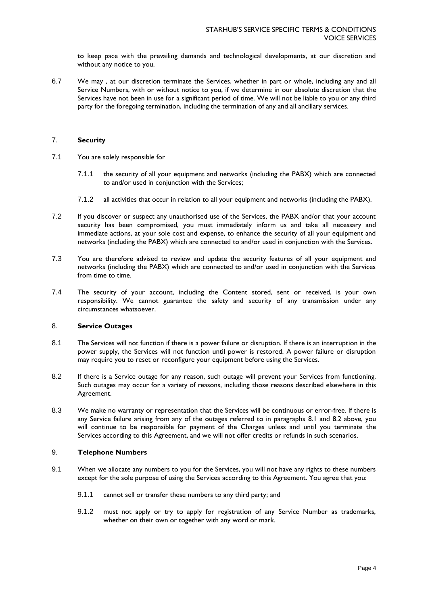to keep pace with the prevailing demands and technological developments, at our discretion and without any notice to you.

6.7 We may , at our discretion terminate the Services, whether in part or whole, including any and all Service Numbers, with or without notice to you, if we determine in our absolute discretion that the Services have not been in use for a significant period of time. We will not be liable to you or any third party for the foregoing termination, including the termination of any and all ancillary services.

## 7. **Security**

- 7.1 You are solely responsible for
	- 7.1.1 the security of all your equipment and networks (including the PABX) which are connected to and/or used in conjunction with the Services;
	- 7.1.2 all activities that occur in relation to all your equipment and networks (including the PABX).
- 7.2 If you discover or suspect any unauthorised use of the Services, the PABX and/or that your account security has been compromised, you must immediately inform us and take all necessary and immediate actions, at your sole cost and expense, to enhance the security of all your equipment and networks (including the PABX) which are connected to and/or used in conjunction with the Services.
- 7.3 You are therefore advised to review and update the security features of all your equipment and networks (including the PABX) which are connected to and/or used in conjunction with the Services from time to time.
- 7.4 The security of your account, including the Content stored, sent or received, is your own responsibility. We cannot guarantee the safety and security of any transmission under any circumstances whatsoever.

# 8. **Service Outages**

- 8.1 The Services will not function if there is a power failure or disruption. If there is an interruption in the power supply, the Services will not function until power is restored. A power failure or disruption may require you to reset or reconfigure your equipment before using the Services.
- 8.2 If there is a Service outage for any reason, such outage will prevent your Services from functioning. Such outages may occur for a variety of reasons, including those reasons described elsewhere in this Agreement.
- 8.3 We make no warranty or representation that the Services will be continuous or error-free. If there is any Service failure arising from any of the outages referred to in paragraphs 8.1 and 8.2 above, you will continue to be responsible for payment of the Charges unless and until you terminate the Services according to this Agreement, and we will not offer credits or refunds in such scenarios.

## 9. **Telephone Numbers**

- 9.1 When we allocate any numbers to you for the Services, you will not have any rights to these numbers except for the sole purpose of using the Services according to this Agreement. You agree that you:
	- 9.1.1 cannot sell or transfer these numbers to any third party; and
	- 9.1.2 must not apply or try to apply for registration of any Service Number as trademarks, whether on their own or together with any word or mark.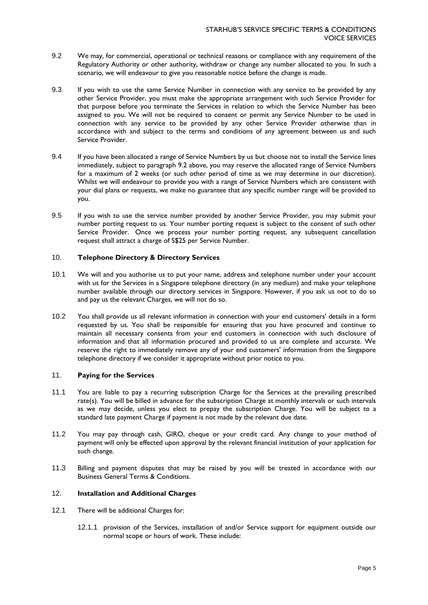- 9.2 We may, for commercial, operational or technical reasons or compliance with any requirement of the Regulatory Authority or other authority, withdraw or change any number allocated to you. In such a scenario, we will endeavour to give you reasonable notice before the change is made.
- 9.3 If you wish to use the same Service Number in connection with any service to be provided by any other Service Provider, you must make the appropriate arrangement with such Service Provider for that purpose before you terminate the Services in relation to which the Service Number has been assigned to you. We will not be required to consent or permit any Service Number to be used in connection with any service to be provided by any other Service Provider otherwise than in accordance with and subject to the terms and conditions of any agreement between us and such Service Provider.
- 9.4 If you have been allocated a range of Service Numbers by us but choose not to install the Service lines immediately, subject to paragraph 9.2 above, you may reserve the allocated range of Service Numbers for a maximum of 2 weeks (or such other period of time as we may determine in our discretion). Whilst we will endeavour to provide you with a range of Service Numbers which are consistent with your dial plans or requests, we make no guarantee that any specific number range will be provided to you.
- 9.5 If you wish to use the service number provided by another Service Provider, you may submit your number porting request to us. Your number porting request is subject to the consent of such other Service Provider. Once we process your number porting request, any subsequent cancellation request shall attract a charge of S\$25 per Service Number.

# 10. **Telephone Directory & Directory Services**

- 10.1 We will and you authorise us to put your name, address and telephone number under your account with us for the Services in a Singapore telephone directory (in any medium) and make your telephone number available through our directory services in Singapore. However, if you ask us not to do so and pay us the relevant Charges, we will not do so.
- 10.2 You shall provide us all relevant information in connection with your end customers' details in a form requested by us. You shall be responsible for ensuring that you have procured and continue to maintain all necessary consents from your end customers in connection with such disclosure of information and that all information procured and provided to us are complete and accurate. We reserve the right to immediately remove any of your end customers' information from the Singapore telephone directory if we consider it appropriate without prior notice to you.

## 11. **Paying for the Services**

- 11.1 You are liable to pay a recurring subscription Charge for the Services at the prevailing prescribed rate(s). You will be billed in advance for the subscription Charge at monthly intervals or such intervals as we may decide, unless you elect to prepay the subscription Charge. You will be subject to a standard late payment Charge if payment is not made by the relevant due date.
- 11.2 You may pay through cash, GIRO, cheque or your credit card. Any change to your method of payment will only be effected upon approval by the relevant financial institution of your application for such change.
- 11.3 Billing and payment disputes that may be raised by you will be treated in accordance with our Business General Terms & Conditions.

# 12. **Installation and Additional Charges**

- 12.1 There will be additional Charges for:
	- 12.1.1 provision of the Services, installation of and/or Service support for equipment outside our normal scope or hours of work. These include: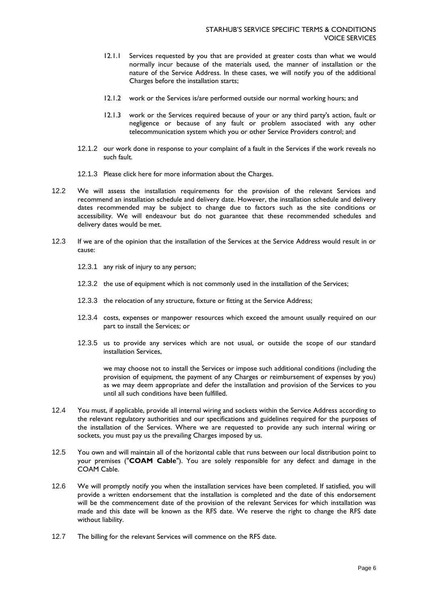- 12.1.1 Services requested by you that are provided at greater costs than what we would normally incur because of the materials used, the manner of installation or the nature of the Service Address. In these cases, we will notify you of the additional Charges before the installation starts;
- 12.1.2 work or the Services is/are performed outside our normal working hours; and
- 12.1.3 work or the Services required because of your or any third party's action, fault or negligence or because of any fault or problem associated with any other telecommunication system which you or other Service Providers control; and
- 12.1.2 our work done in response to your complaint of a fault in the Services if the work reveals no such fault.
- 12.1.3 Please [click here](http://www.starhub.com/content/dam/business/support/voice-idd/voiceservices/fe-charges-pl.pdf) for more information about the Charges.
- 12.2 We will assess the installation requirements for the provision of the relevant Services and recommend an installation schedule and delivery date. However, the installation schedule and delivery dates recommended may be subject to change due to factors such as the site conditions or accessibility. We will endeavour but do not guarantee that these recommended schedules and delivery dates would be met.
- 12.3 If we are of the opinion that the installation of the Services at the Service Address would result in or cause:
	- 12.3.1 any risk of injury to any person;
	- 12.3.2 the use of equipment which is not commonly used in the installation of the Services;
	- 12.3.3 the relocation of any structure, fixture or fitting at the Service Address;
	- 12.3.4 costs, expenses or manpower resources which exceed the amount usually required on our part to install the Services; or
	- 12.3.5 us to provide any services which are not usual, or outside the scope of our standard installation Services,

we may choose not to install the Services or impose such additional conditions (including the provision of equipment, the payment of any Charges or reimbursement of expenses by you) as we may deem appropriate and defer the installation and provision of the Services to you until all such conditions have been fulfilled.

- 12.4 You must, if applicable, provide all internal wiring and sockets within the Service Address according to the relevant regulatory authorities and our specifications and guidelines required for the purposes of the installation of the Services. Where we are requested to provide any such internal wiring or sockets, you must pay us the prevailing Charges imposed by us.
- 12.5 You own and will maintain all of the horizontal cable that runs between our local distribution point to your premises ("**COAM Cable**"). You are solely responsible for any defect and damage in the COAM Cable.
- 12.6 We will promptly notify you when the installation services have been completed. If satisfied, you will provide a written endorsement that the installation is completed and the date of this endorsement will be the commencement date of the provision of the relevant Services for which installation was made and this date will be known as the RFS date. We reserve the right to change the RFS date without liability.
- 12.7 The billing for the relevant Services will commence on the RFS date.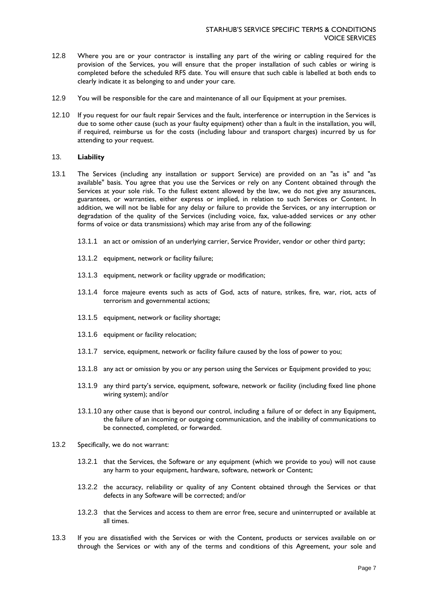- 12.8 Where you are or your contractor is installing any part of the wiring or cabling required for the provision of the Services, you will ensure that the proper installation of such cables or wiring is completed before the scheduled RFS date. You will ensure that such cable is labelled at both ends to clearly indicate it as belonging to and under your care.
- 12.9 You will be responsible for the care and maintenance of all our Equipment at your premises.
- 12.10 If you request for our fault repair Services and the fault, interference or interruption in the Services is due to some other cause (such as your faulty equipment) other than a fault in the installation, you will, if required, reimburse us for the costs (including labour and transport charges) incurred by us for attending to your request.

#### 13. **Liability**

- 13.1 The Services (including any installation or support Service) are provided on an "as is" and "as available" basis. You agree that you use the Services or rely on any Content obtained through the Services at your sole risk. To the fullest extent allowed by the law, we do not give any assurances, guarantees, or warranties, either express or implied, in relation to such Services or Content. In addition, we will not be liable for any delay or failure to provide the Services, or any interruption or degradation of the quality of the Services (including voice, fax, value-added services or any other forms of voice or data transmissions) which may arise from any of the following:
	- 13.1.1 an act or omission of an underlying carrier, Service Provider, vendor or other third party;
	- 13.1.2 equipment, network or facility failure;
	- 13.1.3 equipment, network or facility upgrade or modification;
	- 13.1.4 force majeure events such as acts of God, acts of nature, strikes, fire, war, riot, acts of terrorism and governmental actions;
	- 13.1.5 equipment, network or facility shortage;
	- 13.1.6 equipment or facility relocation;
	- 13.1.7 service, equipment, network or facility failure caused by the loss of power to you;
	- 13.1.8 any act or omission by you or any person using the Services or Equipment provided to you;
	- 13.1.9 any third party's service, equipment, software, network or facility (including fixed line phone wiring system); and/or
	- 13.1.10 any other cause that is beyond our control, including a failure of or defect in any Equipment, the failure of an incoming or outgoing communication, and the inability of communications to be connected, completed, or forwarded.
- 13.2 Specifically, we do not warrant:
	- 13.2.1 that the Services, the Software or any equipment (which we provide to you) will not cause any harm to your equipment, hardware, software, network or Content;
	- 13.2.2 the accuracy, reliability or quality of any Content obtained through the Services or that defects in any Software will be corrected; and/or
	- 13.2.3 that the Services and access to them are error free, secure and uninterrupted or available at all times.
- 13.3 If you are dissatisfied with the Services or with the Content, products or services available on or through the Services or with any of the terms and conditions of this Agreement, your sole and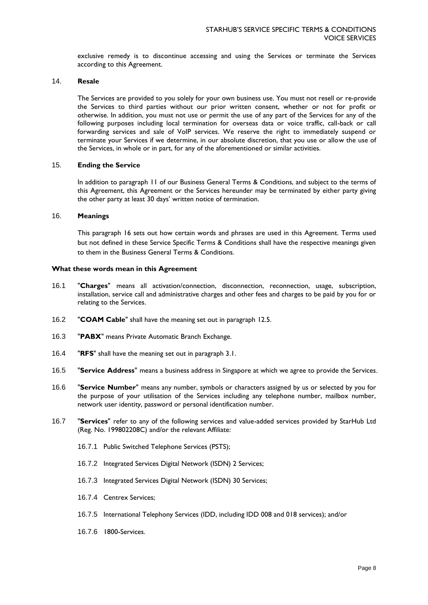exclusive remedy is to discontinue accessing and using the Services or terminate the Services according to this Agreement.

### 14. **Resale**

The Services are provided to you solely for your own business use. You must not resell or re-provide the Services to third parties without our prior written consent, whether or not for profit or otherwise. In addition, you must not use or permit the use of any part of the Services for any of the following purposes including local termination for overseas data or voice traffic, call-back or call forwarding services and sale of VoIP services. We reserve the right to immediately suspend or terminate your Services if we determine, in our absolute discretion, that you use or allow the use of the Services, in whole or in part, for any of the aforementioned or similar activities.

### 15. **Ending the Service**

In addition to paragraph 11 of our Business General Terms & Conditions, and subject to the terms of this Agreement, this Agreement or the Services hereunder may be terminated by either party giving the other party at least 30 days' written notice of termination.

#### 16. **Meanings**

This paragraph 16 sets out how certain words and phrases are used in this Agreement. Terms used but not defined in these Service Specific Terms & Conditions shall have the respective meanings given to them in the Business General Terms & Conditions.

### **What these words mean in this Agreement**

- 16.1 "**Charges**" means all activation/connection, disconnection, reconnection, usage, subscription, installation, service call and administrative charges and other fees and charges to be paid by you for or relating to the Services.
- 16.2 "**COAM Cable**" shall have the meaning set out in paragraph 12.5.
- 16.3 "**PABX**" means Private Automatic Branch Exchange.
- 16.4 "**RFS**" shall have the meaning set out in paragraph 3.1.
- 16.5 "**Service Address**" means a business address in Singapore at which we agree to provide the Services.
- 16.6 "**Service Number**" means any number, symbols or characters assigned by us or selected by you for the purpose of your utilisation of the Services including any telephone number, mailbox number, network user identity, password or personal identification number.
- 16.7 "**Services**" refer to any of the following services and value-added services provided by StarHub Ltd (Reg. No. 199802208C) and/or the relevant Affiliate:
	- 16.7.1 Public Switched Telephone Services (PSTS);
	- 16.7.2 Integrated Services Digital Network (ISDN) 2 Services;
	- 16.7.3 Integrated Services Digital Network (ISDN) 30 Services;
	- 16.7.4 Centrex Services;
	- 16.7.5 International Telephony Services (IDD, including IDD 008 and 018 services); and/or
	- 16.7.6 1800-Services.